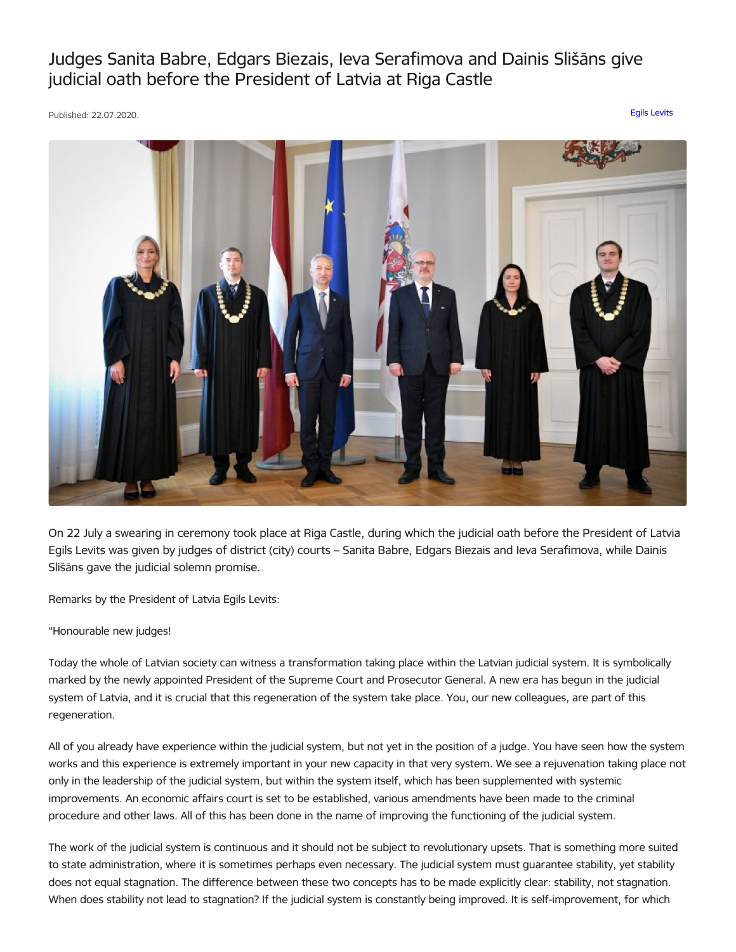Judges Sanita Babre, Edgars Biezais, Ieva Serafimova and Dainis Slišāns give judicial oath before the President of Latvia at Riga Castle

Published: 22.07.2020. Egils [Levits](https://www.president.lv/en/articles?category%255B276%255D=276)



On 22 July a swearing in ceremony took place at Riga Castle, during which the judicial oath before the President of Latvia Egils Levits was given by judges of district (city) courts – Sanita Babre, Edgars Biezais and Ieva Serafimova, while Dainis Slišāns gave the judicial solemn promise.

Remarks by the President of Latvia Egils Levits:

"Honourable new judges!

Today the whole of Latvian society can witness a transformation taking place within the Latvian judicial system. It is symbolically marked by the newly appointed President of the Supreme Court and Prosecutor General. A new era has begun in the judicial system of Latvia, and it is crucial that this regeneration of the system take place. You, our new colleagues, are part of this regeneration.

All of you already have experience within the judicial system, but not yet in the position of a judge. You have seen how the system works and this experience is extremely important in your new capacity in that very system. We see a rejuvenation taking place not only in the leadership of the judicial system, but within the system itself, which has been supplemented with systemic improvements. An economic affairs court is set to be established, various amendments have been made to the criminal procedure and other laws. All of this has been done in the name of improving the functioning of the judicial system.

The work of the judicial system is continuous and it should not be subject to revolutionary upsets. That is something more suited to state administration, where it is sometimes perhaps even necessary. The judicial system must guarantee stability, yet stability does not equal stagnation. The difference between these two concepts has to be made explicitly clear: stability, not stagnation. When does stability not lead to stagnation? If the judicial system is constantly being improved. It is self-improvement, for which